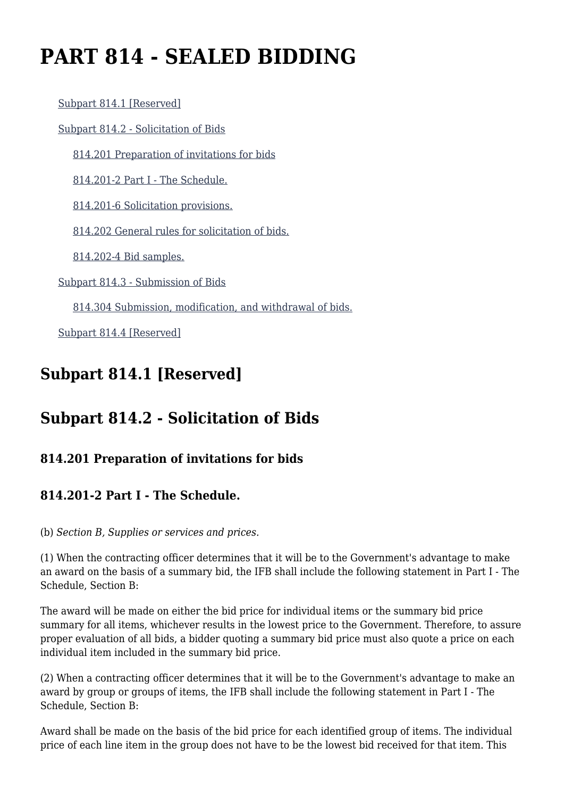# **PART 814 - SEALED BIDDING**

 [Subpart 814.1 \[Reserved\]](https://origin-www.acquisition.gov/%5Brp:link:vaar-part-814%5D#Subpart_814_1_T48_50211151) [Subpart 814.2 - Solicitation of Bids](https://origin-www.acquisition.gov/%5Brp:link:vaar-part-814%5D#Subpart_814_2_T48_50211152) [814.201 Preparation of invitations for bids](https://origin-www.acquisition.gov/%5Brp:link:vaar-part-814%5D#Section_814_201_T48_5021115211) [814.201-2 Part I - The Schedule.](https://origin-www.acquisition.gov/%5Brp:link:vaar-part-814%5D#Section_814_201_2_T48_5021115212) [814.201-6 Solicitation provisions.](https://origin-www.acquisition.gov/%5Brp:link:vaar-part-814%5D#Section_814_201_6_T48_5021115213) [814.202 General rules for solicitation of bids.](https://origin-www.acquisition.gov/%5Brp:link:vaar-part-814%5D#Section_814_202_T48_5021115214) [814.202-4 Bid samples.](https://origin-www.acquisition.gov/%5Brp:link:vaar-part-814%5D#Section_814_202_4_T48_5021115215) [Subpart 814.3 - Submission of Bids](https://origin-www.acquisition.gov/%5Brp:link:vaar-part-814%5D#Subpart_814_3_T48_50211153) [814.304 Submission, modification, and withdrawal of bids.](https://origin-www.acquisition.gov/%5Brp:link:vaar-part-814%5D#Section_814_304_T48_5021115311)

[Subpart 814.4 \[Reserved\]](https://origin-www.acquisition.gov/%5Brp:link:vaar-part-814%5D#Subpart_814_4_T48_50211154)

# **Subpart 814.1 [Reserved]**

## **Subpart 814.2 - Solicitation of Bids**

#### **814.201 Preparation of invitations for bids**

#### **814.201-2 Part I - The Schedule.**

(b) *Section B, Supplies or services and prices.*

(1) When the contracting officer determines that it will be to the Government's advantage to make an award on the basis of a summary bid, the IFB shall include the following statement in Part I - The Schedule, Section B:

The award will be made on either the bid price for individual items or the summary bid price summary for all items, whichever results in the lowest price to the Government. Therefore, to assure proper evaluation of all bids, a bidder quoting a summary bid price must also quote a price on each individual item included in the summary bid price.

(2) When a contracting officer determines that it will be to the Government's advantage to make an award by group or groups of items, the IFB shall include the following statement in Part I - The Schedule, Section B:

Award shall be made on the basis of the bid price for each identified group of items. The individual price of each line item in the group does not have to be the lowest bid received for that item. This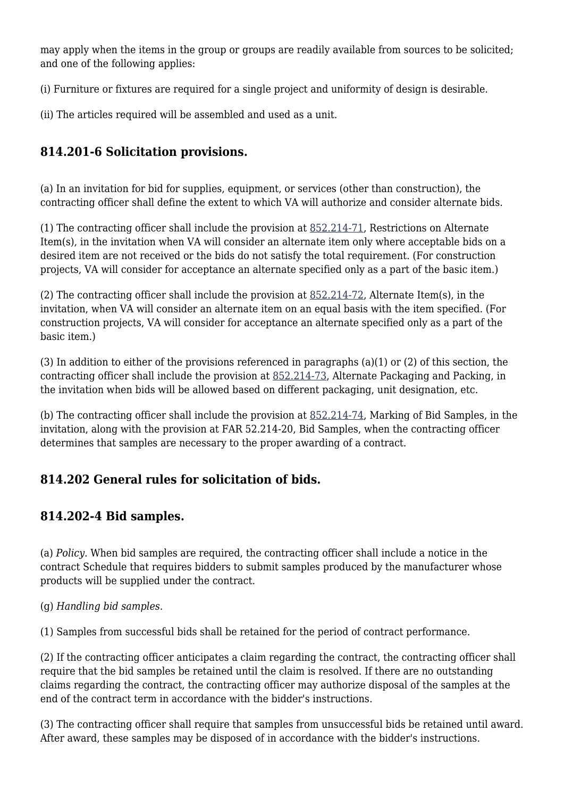may apply when the items in the group or groups are readily available from sources to be solicited; and one of the following applies:

(i) Furniture or fixtures are required for a single project and uniformity of design is desirable.

(ii) The articles required will be assembled and used as a unit.

#### **814.201-6 Solicitation provisions.**

(a) In an invitation for bid for supplies, equipment, or services (other than construction), the contracting officer shall define the extent to which VA will authorize and consider alternate bids.

(1) The contracting officer shall include the provision at [852.214-71,](https://origin-www.acquisition.gov/%5Brp:link:vaar-part-852%5D#Section_852_214_71_T48_50216422113) Restrictions on Alternate Item(s), in the invitation when VA will consider an alternate item only where acceptable bids on a desired item are not received or the bids do not satisfy the total requirement. (For construction projects, VA will consider for acceptance an alternate specified only as a part of the basic item.)

(2) The contracting officer shall include the provision at [852.214-72,](https://origin-www.acquisition.gov/%5Brp:link:vaar-part-852%5D#Section_852_214_72_T48_50216422114) Alternate Item(s), in the invitation, when VA will consider an alternate item on an equal basis with the item specified. (For construction projects, VA will consider for acceptance an alternate specified only as a part of the basic item.)

(3) In addition to either of the provisions referenced in paragraphs (a)(1) or (2) of this section, the contracting officer shall include the provision at [852.214-73,](https://origin-www.acquisition.gov/%5Brp:link:vaar-part-852%5D#Section_852_214_73_T48_50216422115) Alternate Packaging and Packing, in the invitation when bids will be allowed based on different packaging, unit designation, etc.

(b) The contracting officer shall include the provision at [852.214-74,](https://origin-www.acquisition.gov/%5Brp:link:vaar-part-852%5D#Section_852_214_74_T48_50216422116) Marking of Bid Samples, in the invitation, along with the provision at FAR 52.214-20, Bid Samples, when the contracting officer determines that samples are necessary to the proper awarding of a contract.

#### **814.202 General rules for solicitation of bids.**

#### **814.202-4 Bid samples.**

(a) *Policy.* When bid samples are required, the contracting officer shall include a notice in the contract Schedule that requires bidders to submit samples produced by the manufacturer whose products will be supplied under the contract.

(g) *Handling bid samples.*

(1) Samples from successful bids shall be retained for the period of contract performance.

(2) If the contracting officer anticipates a claim regarding the contract, the contracting officer shall require that the bid samples be retained until the claim is resolved. If there are no outstanding claims regarding the contract, the contracting officer may authorize disposal of the samples at the end of the contract term in accordance with the bidder's instructions.

(3) The contracting officer shall require that samples from unsuccessful bids be retained until award. After award, these samples may be disposed of in accordance with the bidder's instructions.